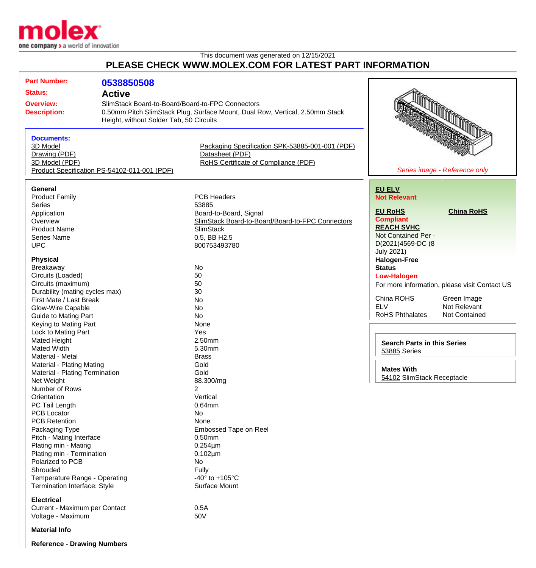

## This document was generated on 12/15/2021 **PLEASE CHECK WWW.MOLEX.COM FOR LATEST PART INFORMATION**

| <b>Part Number:</b>                                              | 0538850508                                                                                                                                                                  |                                                                                                            |                                                               |
|------------------------------------------------------------------|-----------------------------------------------------------------------------------------------------------------------------------------------------------------------------|------------------------------------------------------------------------------------------------------------|---------------------------------------------------------------|
| <b>Status:</b>                                                   | <b>Active</b>                                                                                                                                                               |                                                                                                            |                                                               |
| <b>Overview:</b><br><b>Description:</b>                          | SlimStack Board-to-Board/Board-to-FPC Connectors<br>0.50mm Pitch SlimStack Plug, Surface Mount, Dual Row, Vertical, 2.50mm Stack<br>Height, without Solder Tab, 50 Circuits |                                                                                                            |                                                               |
| <b>Documents:</b><br>3D Model<br>Drawing (PDF)<br>3D Model (PDF) | Product Specification PS-54102-011-001 (PDF)                                                                                                                                | Packaging Specification SPK-53885-001-001 (PDF)<br>Datasheet (PDF)<br>RoHS Certificate of Compliance (PDF) | Series image - Reference only                                 |
| General                                                          |                                                                                                                                                                             |                                                                                                            | <b>EU ELV</b>                                                 |
| <b>Product Family</b><br><b>Series</b>                           |                                                                                                                                                                             | <b>PCB Headers</b><br>53885                                                                                | <b>Not Relevant</b><br><b>EU RoHS</b><br><b>China RoHS</b>    |
| Application<br>Overview<br><b>Product Name</b>                   |                                                                                                                                                                             | Board-to-Board, Signal<br>SlimStack Board-to-Board/Board-to-FPC Connectors<br><b>SlimStack</b>             | <b>Compliant</b><br><b>REACH SVHC</b>                         |
| <b>Series Name</b><br><b>UPC</b>                                 |                                                                                                                                                                             | 0.5, BB H2.5<br>800753493780                                                                               | Not Contained Per -<br>D(2021)4569-DC (8<br><b>July 2021)</b> |
| <b>Physical</b><br>Breakaway                                     |                                                                                                                                                                             | No                                                                                                         | <b>Halogen-Free</b><br><b>Status</b>                          |
| Circuits (Loaded)                                                |                                                                                                                                                                             | 50                                                                                                         | <b>Low-Halogen</b>                                            |
| Circuits (maximum)                                               |                                                                                                                                                                             | 50                                                                                                         | For more information, please visit Contact US                 |
| Durability (mating cycles max)                                   |                                                                                                                                                                             | 30                                                                                                         |                                                               |
| First Mate / Last Break                                          |                                                                                                                                                                             | <b>No</b>                                                                                                  | China ROHS<br>Green Image<br><b>ELV</b><br>Not Relevant       |
| Glow-Wire Capable                                                |                                                                                                                                                                             | No                                                                                                         | <b>RoHS Phthalates</b><br>Not Contained                       |
| <b>Guide to Mating Part</b><br>Keying to Mating Part             |                                                                                                                                                                             | No<br>None                                                                                                 |                                                               |
| Lock to Mating Part                                              |                                                                                                                                                                             | Yes                                                                                                        |                                                               |
| <b>Mated Height</b>                                              |                                                                                                                                                                             | 2.50mm                                                                                                     |                                                               |
| <b>Mated Width</b>                                               |                                                                                                                                                                             | 5.30mm                                                                                                     | <b>Search Parts in this Series</b>                            |
| Material - Metal                                                 |                                                                                                                                                                             | <b>Brass</b>                                                                                               | 53885 Series                                                  |
| <b>Material - Plating Mating</b>                                 |                                                                                                                                                                             | Gold                                                                                                       |                                                               |
| Material - Plating Termination                                   |                                                                                                                                                                             | Gold                                                                                                       | <b>Mates With</b><br>54102 SlimStack Receptacle               |
| Net Weight                                                       |                                                                                                                                                                             | 88.300/mg                                                                                                  |                                                               |
| Number of Rows                                                   |                                                                                                                                                                             | $\overline{2}$                                                                                             |                                                               |
| Orientation<br>PC Tail Length                                    |                                                                                                                                                                             | Vertical<br>0.64mm                                                                                         |                                                               |
| <b>PCB Locator</b>                                               |                                                                                                                                                                             | No                                                                                                         |                                                               |
| <b>PCB Retention</b>                                             |                                                                                                                                                                             | None                                                                                                       |                                                               |
| Packaging Type                                                   |                                                                                                                                                                             | Embossed Tape on Reel                                                                                      |                                                               |
| Pitch - Mating Interface                                         |                                                                                                                                                                             | 0.50mm                                                                                                     |                                                               |
| Plating min - Mating                                             |                                                                                                                                                                             | $0.254 \mu m$                                                                                              |                                                               |
| Plating min - Termination                                        |                                                                                                                                                                             | $0.102 \mu m$                                                                                              |                                                               |
| Polarized to PCB                                                 |                                                                                                                                                                             | No                                                                                                         |                                                               |
| Shrouded                                                         |                                                                                                                                                                             | Fully                                                                                                      |                                                               |
| Temperature Range - Operating<br>Termination Interface: Style    |                                                                                                                                                                             | -40 $\degree$ to +105 $\degree$ C<br>Surface Mount                                                         |                                                               |
|                                                                  |                                                                                                                                                                             |                                                                                                            |                                                               |
| <b>Electrical</b>                                                |                                                                                                                                                                             |                                                                                                            |                                                               |
| Current - Maximum per Contact<br>Voltage - Maximum               |                                                                                                                                                                             | 0.5A<br>50V                                                                                                |                                                               |
| <b>Material Info</b>                                             |                                                                                                                                                                             |                                                                                                            |                                                               |
| <b>Reference - Drawing Numbers</b>                               |                                                                                                                                                                             |                                                                                                            |                                                               |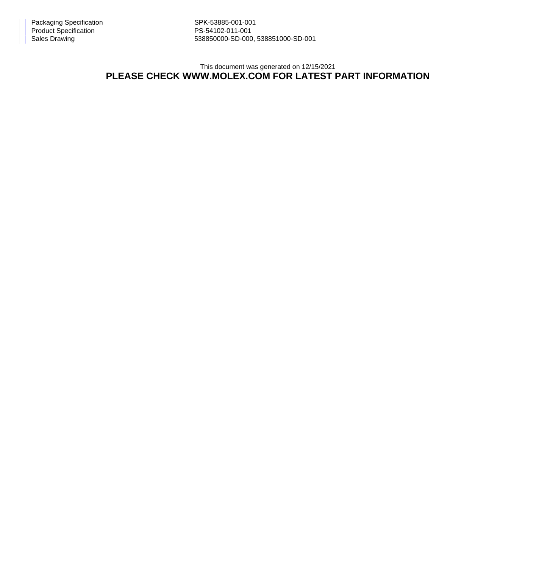Sales Drawing 538850000-SD-000, 538851000-SD-001

This document was generated on 12/15/2021

## **PLEASE CHECK WWW.MOLEX.COM FOR LATEST PART INFORMATION**